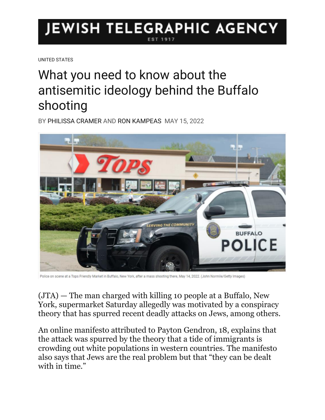## JEWISH TELEGRAPHIC AGENCY

[UNITED STATES](https://www.jta.org/category/united-states)

## What you need to know about the antisemitic ideology behind the Buffalo shooting

BY [PHILISSA CRAMER](https://www.jta.org/author/philissa-cramer) AND [RON KAMPEAS](https://www.jta.org/author/ron-kampeas) MAY 15, 2022



Police on scene at a Tops Friendly Market in Buffalo, New York, after a mass shooting there, May 14, 2022. (John Normile/Getty Images)

[\(JTA\)](http://jta.org/) — The man charged with killing 10 people at a Buffalo, New York, supermarket Saturday allegedly was motivated by a conspiracy theory that has spurred recent deadly attacks on Jews, among others.

An online manifesto attributed to Payton Gendron, 18, explains that the attack was spurred by the theory that a tide of immigrants is crowding out white populations in western countries. The manifesto also says that Jews are the real problem but that "they can be dealt with in time."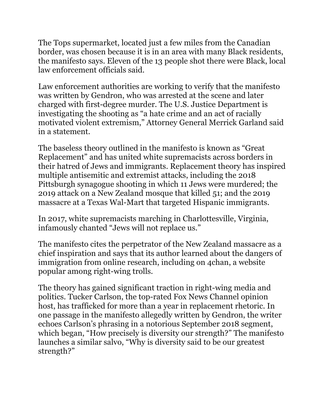The Tops supermarket, located just a few miles from the Canadian border, was chosen because it is in an area with many Black residents, the manifesto says. Eleven of the 13 people shot there were Black, local law enforcement officials said.

Law enforcement authorities are working to verify that the manifesto was written by Gendron, who was arrested at the scene and later charged with first-degree murder. The U.S. Justice Department is investigating the shooting as "a hate crime and an act of racially motivated violent extremism," Attorney General Merrick Garland said in a statement.

The baseless theory outlined in the manifesto is known as "Great Replacement" and [has united white supremacists across borders in](https://www.jta.org/2020/02/20/global/united-by-hatred-of-jews-and-immigrants-white-supremacists-are-increasingly-working-together-across-borders)  [their hatred of Jews and immigrants.](https://www.jta.org/2020/02/20/global/united-by-hatred-of-jews-and-immigrants-white-supremacists-are-increasingly-working-together-across-borders) Replacement theory has inspired multiple antisemitic and extremist attacks, including the [2018](https://www.jta.org/2018/10/28/united-states/hias-immigrant-aid-group-vilified-pittsburgh-gunman-vows-not-back)  [Pittsburgh synagogue shooting](https://www.jta.org/2018/10/28/united-states/hias-immigrant-aid-group-vilified-pittsburgh-gunman-vows-not-back) in which 11 Jews were murdered; [the](https://www.jta.org/quick-reads/new-zealand-jews-sickened-devastated-by-deadly-mosque-shootings)  [2019 attack on a New Zealand mosque](https://www.jta.org/quick-reads/new-zealand-jews-sickened-devastated-by-deadly-mosque-shootings) that killed 51; and [the 2019](https://www.jta.org/2019/08/05/united-states/the-el-paso-shooting-is-being-investigated-as-domestic-terrorism-does-it-matter)  [massacre at a Texas Wal-Mart that targeted Hispanic immigrants.](https://www.jta.org/2019/08/05/united-states/the-el-paso-shooting-is-being-investigated-as-domestic-terrorism-does-it-matter)

In 2017, [white supremacists marching in Charlottesville,](https://www.jta.org/2017/08/13/united-states/hate-in-charlottesville-the-day-the-nazi-called-me-shlomo) Virginia, infamously chanted "Jews will not replace us."

The manifesto cites the perpetrator of the New Zealand massacre as a chief inspiration and says that its author learned about the dangers of immigration from online research, including on 4chan, a website popular among right-wing trolls.

The theory has gained significant traction in right-wing media and politics. Tucker Carlson, the top-rated Fox News Channel opinion host, has trafficked for more than a year in replacement rhetoric. In one passage in the manifesto allegedly written by Gendron, the writer echoes Carlson's phrasing in [a notorious September 2018 segment,](https://www.washingtonpost.com/blogs/erik-wemple/wp/2018/09/10/face-it-tucker-carlson-your-anti-diversity-segment-was-racist/) which began, "How precisely is diversity our strength?" The manifesto launches a similar salvo, "Why is diversity said to be our greatest strength?"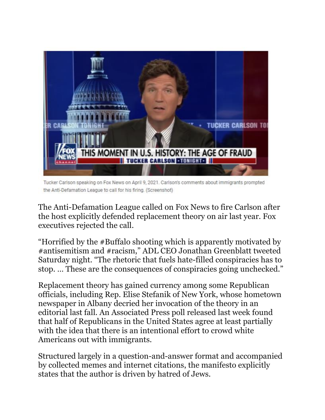

Tucker Carlson speaking on Fox News on April 9, 2021. Carlson's comments about immigrants prompted the Anti-Defamation League to call for his firing. (Screenshot)

The [Anti-Defamation League called on Fox News to fire Carlson after](https://www.jta.org/2021/04/09/united-states/adl-chief-calls-for-tucker-carlsons-ouster-after-fox-news-host-endorses-white-supremacist-conspiracy-theory)  [the host explicitly defended replacement theory](https://www.jta.org/2021/04/09/united-states/adl-chief-calls-for-tucker-carlsons-ouster-after-fox-news-host-endorses-white-supremacist-conspiracy-theory) on air last year. Fox executives [rejected the call.](https://www.jta.org/2021/04/12/united-states/fox-news-to-adl-we-wont-fire-tucker-carlson-for-endorsing-a-white-supremacist-theory)

"Horrified by the #Buffalo shooting which is apparently motivated by #antisemitism and #racism," ADL CEO Jonathan Greenblatt tweeted Saturday night. "The rhetoric that fuels hate-filled conspiracies has to stop. … These are the consequences of conspiracies going unchecked."

Replacement theory has gained currency among some Republican officials, including Rep. Elise Stefanik of New York, whose [hometown](https://www.timesunion.com/opinion/article/Editorial-How-low-Ms-Stefanik-16465746.php)  [newspaper in Albany decried her invocation of the theory in an](https://www.timesunion.com/opinion/article/Editorial-How-low-Ms-Stefanik-16465746.php)  [editorial](https://www.timesunion.com/opinion/article/Editorial-How-low-Ms-Stefanik-16465746.php) last fall. [An Associated Press poll released last week](https://www.washingtonpost.com/politics/2022/05/09/nearly-half-republicans-agree-with-great-replacement-theory/) found that half of Republicans in the United States agree at least partially with the idea that there is an intentional effort to crowd white Americans out with immigrants.

Structured largely in a question-and-answer format and accompanied by collected memes and internet citations, the manifesto explicitly states that the author is driven by hatred of Jews.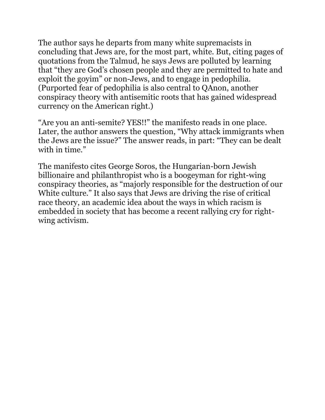The author says he departs from many white supremacists in concluding that Jews are, for the most part, white. But, citing pages of quotations from the Talmud, he says Jews are polluted by learning that "they are God's chosen people and they are permitted to hate and exploit the goyim" or non-Jews, and to engage in pedophilia. (Purported fear of pedophilia is also central to [QAnon, another](https://www.jta.org/2020/09/18/politics/qanon-is-an-old-form-of-anti-semitism-in-a-new-package-experts-say)  [conspiracy theory with antisemitic roots](https://www.jta.org/2020/09/18/politics/qanon-is-an-old-form-of-anti-semitism-in-a-new-package-experts-say) that has gained widespread currency on the American right.)

"Are you an anti-semite? YES!!" the manifesto reads in one place. Later, the author answers the question, "Why attack immigrants when the Jews are the issue?" The answer reads, in part: "They can be dealt with in time."

The manifesto cites [George Soros, the Hungarian-born Jewish](https://www.jta.org/2020/09/08/united-states/what-you-need-to-know-about-george-soros-the-jewish-philanthropist-still-at-the-center-of-right-wing-conspiracy-theories)  [billionaire and philanthropist who is a boogeyman for right-wing](https://www.jta.org/2020/09/08/united-states/what-you-need-to-know-about-george-soros-the-jewish-philanthropist-still-at-the-center-of-right-wing-conspiracy-theories)  [conspiracy theories](https://www.jta.org/2020/09/08/united-states/what-you-need-to-know-about-george-soros-the-jewish-philanthropist-still-at-the-center-of-right-wing-conspiracy-theories), as "majorly responsible for the destruction of our White culture." It also says that Jews are driving the rise of critical race theory, an academic idea about the ways in which racism is embedded in society that has become a recent rallying cry for rightwing activism.